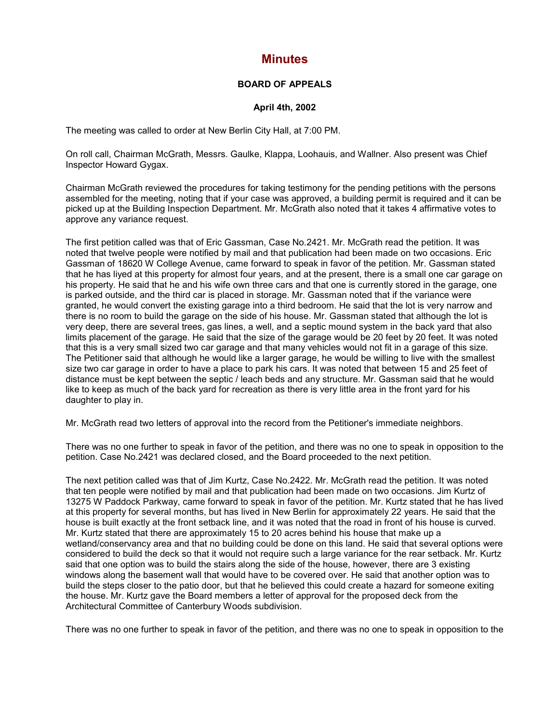## **Minutes**

## **BOARD OF APPEALS**

## **April 4th, 2002**

The meeting was called to order at New Berlin City Hall, at 7:00 PM.

On roll call, Chairman McGrath, Messrs. Gaulke, Klappa, Loohauis, and Wallner. Also present was Chief Inspector Howard Gygax.

Chairman McGrath reviewed the procedures for taking testimony for the pending petitions with the persons assembled for the meeting, noting that if your case was approved, a building permit is required and it can be picked up at the Building Inspection Department. Mr. McGrath also noted that it takes 4 affirmative votes to approve any variance request.

The first petition called was that of Eric Gassman, Case No.2421. Mr. McGrath read the petition. It was noted that twelve people were notified by mail and that publication had been made on two occasions. Eric Gassman of 18620 W College Avenue, came forward to speak in favor of the petition. Mr. Gassman stated that he has liyed at this property for almost four years, and at the present, there is a small one car garage on his property. He said that he and his wife own three cars and that one is currently stored in the garage, one is parked outside, and the third car is placed in storage. Mr. Gassman noted that if the variance were granted, he would convert the existing garage into a third bedroom. He said that the lot is very narrow and there is no room to build the garage on the side of his house. Mr. Gassman stated that although the lot is very deep, there are several trees, gas lines, a well, and a septic mound system in the back yard that also limits placement of the garage. He said that the size of the garage would be 20 feet by 20 feet. It was noted that this is a very small sized two car garage and that many vehicles would not fit in a garage of this size. The Petitioner said that although he would like a larger garage, he would be willing to live with the smallest size two car garage in order to have a place to park his cars. It was noted that between 15 and 25 feet of distance must be kept between the septic / leach beds and any structure. Mr. Gassman said that he would like to keep as much of the back yard for recreation as there is very little area in the front yard for his daughter to play in.

Mr. McGrath read two letters of approval into the record from the Petitioner's immediate neighbors.

There was no one further to speak in favor of the petition, and there was no one to speak in opposition to the petition. Case No.2421 was declared closed, and the Board proceeded to the next petition.

The next petition called was that of Jim Kurtz, Case No.2422. Mr. McGrath read the petition. It was noted that ten people were notified by mail and that publication had been made on two occasions. Jim Kurtz of 13275 W Paddock Parkway, came forward to speak in favor of the petition. Mr. Kurtz stated that he has lived at this property for several months, but has lived in New Berlin for approximately 22 years. He said that the house is built exactly at the front setback line, and it was noted that the road in front of his house is curved. Mr. Kurtz stated that there are approximately 15 to 20 acres behind his house that make up a wetland/conservancy area and that no building could be done on this land. He said that several options were considered to build the deck so that it would not require such a large variance for the rear setback. Mr. Kurtz said that one option was to build the stairs along the side of the house, however, there are 3 existing windows along the basement wall that would have to be covered over. He said that another option was to build the steps closer to the patio door, but that he believed this could create a hazard for someone exiting the house. Mr. Kurtz gave the Board members a letter of approval for the proposed deck from the Architectural Committee of Canterbury Woods subdivision.

There was no one further to speak in favor of the petition, and there was no one to speak in opposition to the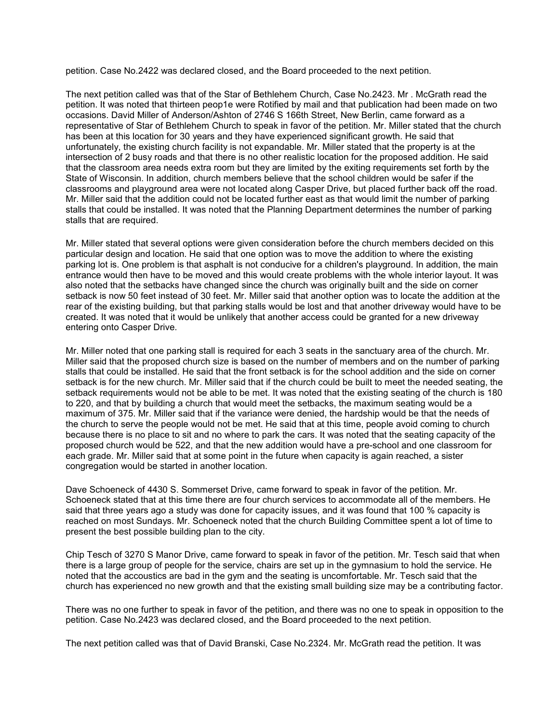petition. Case No.2422 was declared closed, and the Board proceeded to the next petition.

The next petition called was that of the Star of Bethlehem Church, Case No.2423. Mr . McGrath read the petition. It was noted that thirteen peop1e were Rotified by mail and that publication had been made on two occasions. David Miller of Anderson/Ashton of 2746 S 166th Street, New Berlin, came forward as a representative of Star of Bethlehem Church to speak in favor of the petition. Mr. Miller stated that the church has been at this location for 30 years and they have experienced significant growth. He said that unfortunately, the existing church facility is not expandable. Mr. Miller stated that the property is at the intersection of 2 busy roads and that there is no other realistic location for the proposed addition. He said that the classroom area needs extra room but they are limited by the exiting requirements set forth by the State of Wisconsin. In addition, church members believe that the school children would be safer if the classrooms and playground area were not located along Casper Drive, but placed further back off the road. Mr. Miller said that the addition could not be located further east as that would limit the number of parking stalls that could be installed. It was noted that the Planning Department determines the number of parking stalls that are required.

Mr. Miller stated that several options were given consideration before the church members decided on this particular design and location. He said that one option was to move the addition to where the existing parking lot is. One problem is that asphalt is not conducive for a children's playground. In addition, the main entrance would then have to be moved and this would create problems with the whole interior layout. It was also noted that the setbacks have changed since the church was originally built and the side on corner setback is now 50 feet instead of 30 feet. Mr. Miller said that another option was to locate the addition at the rear of the existing building, but that parking stalls would be lost and that another driveway would have to be created. It was noted that it would be unlikely that another access could be granted for a new driveway entering onto Casper Drive.

Mr. Miller noted that one parking stall is required for each 3 seats in the sanctuary area of the church. Mr. Miller said that the proposed church size is based on the number of members and on the number of parking stalls that could be installed. He said that the front setback is for the school addition and the side on corner setback is for the new church. Mr. Miller said that if the church could be built to meet the needed seating, the setback requirements would not be able to be met. It was noted that the existing seating of the church is 180 to 220, and that by building a church that would meet the setbacks, the maximum seating would be a maximum of 375. Mr. Miller said that if the variance were denied, the hardship would be that the needs of the church to serve the people would not be met. He said that at this time, people avoid coming to church because there is no place to sit and no where to park the cars. It was noted that the seating capacity of the proposed church would be 522, and that the new addition would have a pre-school and one classroom for each grade. Mr. Miller said that at some point in the future when capacity is again reached, a sister congregation would be started in another location.

Dave Schoeneck of 4430 S. Sommerset Drive, came forward to speak in favor of the petition. Mr. Schoeneck stated that at this time there are four church services to accommodate all of the members. He said that three years ago a study was done for capacity issues, and it was found that 100 % capacity is reached on most Sundays. Mr. Schoeneck noted that the church Building Committee spent a lot of time to present the best possible building plan to the city.

Chip Tesch of 3270 S Manor Drive, came forward to speak in favor of the petition. Mr. Tesch said that when there is a large group of people for the service, chairs are set up in the gymnasium to hold the service. He noted that the accoustics are bad in the gym and the seating is uncomfortable. Mr. Tesch said that the church has experienced no new growth and that the existing small building size may be a contributing factor.

There was no one further to speak in favor of the petition, and there was no one to speak in opposition to the petition. Case No.2423 was declared closed, and the Board proceeded to the next petition.

The next petition called was that of David Branski, Case No.2324. Mr. McGrath read the petition. It was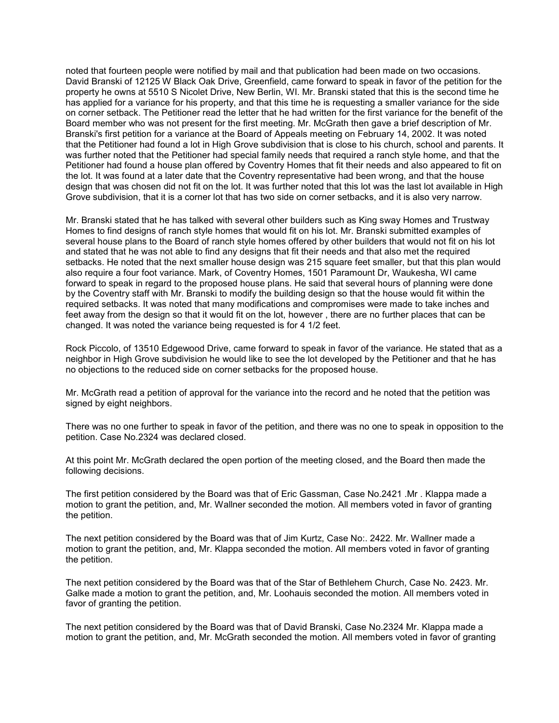noted that fourteen people were notified by mail and that publication had been made on two occasions. David Branski of 12125 W Black Oak Drive, Greenfield, came forward to speak in favor of the petition for the property he owns at 5510 S Nicolet Drive, New Berlin, WI. Mr. Branski stated that this is the second time he has applied for a variance for his property, and that this time he is requesting a smaller variance for the side on corner setback. The Petitioner read the letter that he had written for the first variance for the benefit of the Board member who was not present for the first meeting. Mr. McGrath then gave a brief description of Mr. Branski's first petition for a variance at the Board of Appeals meeting on February 14, 2002. It was noted that the Petitioner had found a lot in High Grove subdivision that is close to his church, school and parents. It was further noted that the Petitioner had special family needs that required a ranch style home, and that the Petitioner had found a house plan offered by Coventry Homes that fit their needs and also appeared to fit on the lot. It was found at a later date that the Coventry representative had been wrong, and that the house design that was chosen did not fit on the lot. It was further noted that this lot was the last lot available in High Grove subdivision, that it is a corner lot that has two side on corner setbacks, and it is also very narrow.

Mr. Branski stated that he has talked with several other builders such as King sway Homes and Trustway Homes to find designs of ranch style homes that would fit on his lot. Mr. Branski submitted examples of several house plans to the Board of ranch style homes offered by other builders that would not fit on his lot and stated that he was not able to find any designs that fit their needs and that also met the required setbacks. He noted that the next smaller house design was 215 square feet smaller, but that this plan would also require a four foot variance. Mark, of Coventry Homes, 1501 Paramount Dr, Waukesha, WI came forward to speak in regard to the proposed house plans. He said that several hours of planning were done by the Coventry staff with Mr. Branski to modify the building design so that the house would fit within the required setbacks. It was noted that many modifications and compromises were made to take inches and feet away from the design so that it would fit on the lot, however , there are no further places that can be changed. It was noted the variance being requested is for 4 1/2 feet.

Rock Piccolo, of 13510 Edgewood Drive, came forward to speak in favor of the variance. He stated that as a neighbor in High Grove subdivision he would like to see the lot developed by the Petitioner and that he has no objections to the reduced side on corner setbacks for the proposed house.

Mr. McGrath read a petition of approval for the variance into the record and he noted that the petition was signed by eight neighbors.

There was no one further to speak in favor of the petition, and there was no one to speak in opposition to the petition. Case No.2324 was declared closed.

At this point Mr. McGrath declared the open portion of the meeting closed, and the Board then made the following decisions.

The first petition considered by the Board was that of Eric Gassman, Case No.2421 .Mr . Klappa made a motion to grant the petition, and, Mr. Wallner seconded the motion. All members voted in favor of granting the petition.

The next petition considered by the Board was that of Jim Kurtz, Case No:. 2422. Mr. Wallner made a motion to grant the petition, and, Mr. Klappa seconded the motion. All members voted in favor of granting the petition.

The next petition considered by the Board was that of the Star of Bethlehem Church, Case No. 2423. Mr. Galke made a motion to grant the petition, and, Mr. Loohauis seconded the motion. All members voted in favor of granting the petition.

The next petition considered by the Board was that of David Branski, Case No.2324 Mr. Klappa made a motion to grant the petition, and, Mr. McGrath seconded the motion. All members voted in favor of granting